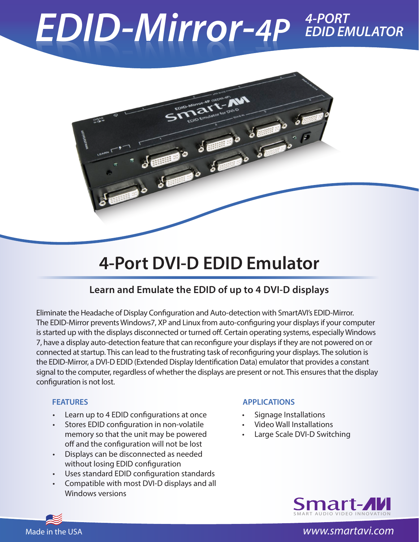# $EDID-Mirror-4P$ *EDID EMULATOR*



## **4-Port DVI-D EDID Emulator**

## **Learn and Emulate the EDID of up to 4 DVI-D displays**

Eliminate the Headache of Display Configuration and Auto-detection with SmartAVI's EDID-Mirror. The EDID-Mirror prevents Windows7, XP and Linux from auto-configuring your displays if your computer is started up with the displays disconnected or turned off. Certain operating systems, especially Windows 7, have a display auto-detection feature that can reconfigure your displays if they are not powered on or connected at startup. This can lead to the frustrating task of reconfiguring your displays. The solution is the EDID-Mirror, a DVI-D EDID (Extended Display Identification Data) emulator that provides a constant signal to the computer, regardless of whether the displays are present or not. This ensures that the display configuration is not lost.

- Learn up to 4 EDID configurations at once
- Stores EDID configuration in non-volatile memory so that the unit may be powered off and the configuration will not be lost
- Displays can be disconnected as needed without losing EDID configuration
- • Uses standard EDID configuration standards
- Compatible with most DVI-D displays and all Windows versions

### **FEATURES APPLICATIONS**

- **Signage Installations**
- **Video Wall Installations**
- Large Scale DVI-D Switching



### Made in the USA *www.smartavi.com*